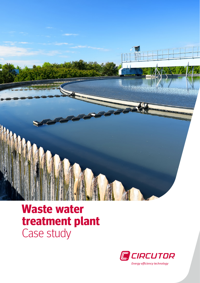

## **Waste water treatment plant** Case study

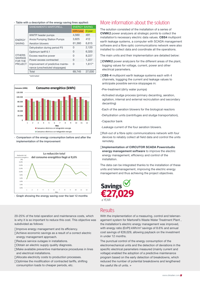› Table with a description of the energy saving lines applied:

| <b>ENERGY</b><br><b>SAVING</b>                                      | SANEAMIENTO MARTORELL             | <b>ENERGY SAVING</b> |          |
|---------------------------------------------------------------------|-----------------------------------|----------------------|----------|
|                                                                     |                                   | kWh/year             | E/year   |
|                                                                     | WWTP header pumps                 | 4,560                | 491      |
|                                                                     | Anoia Pumping Station Pumps       | 3.825                | 412      |
|                                                                     | Aeration blowers                  | 61,360               | 6,615    |
| <b>OTHERS</b><br><b>SAVINGS</b><br><b>FOR THE</b><br><b>PROJECT</b> | Dehydration during period P3      | U                    | 2,120    |
|                                                                     | Optimum tariff 6.1                | U                    | 6,320    |
|                                                                     | Excess reactive power             | U                    | 8,227    |
|                                                                     | Power excess contracted           | $\Omega$             | 1,227    |
|                                                                     | Improvement of predictive mainte- | 0                    | $1.617*$ |
|                                                                     | nance (unscheduled stoppages)     |                      |          |
|                                                                     | Total                             | 69.745               | 27,030   |

\*estimated



› Comparison of the energy consumption before and after the implementation of the improvement



Graph showing the energy saving over the last 12 months

20-25% of the total operation and maintenance costs, which is why it is so important to reduce this cost. This objective was subdivided as follows:

- Improve energy management and its efficiency.
- Achieve economic savings as a result of a correct electric energy management approach.
- Reduce service outages in installations.
- Obtain an electric supply quality diagnosis.
- Make available preventive maintenance procedures in lines and electrical installations.
- Allocate electricity costs to production processes.
- Optimise the modification of contracted tariffs, shifting consumption loads to cheaper periods, etc.

## More information about the solution

The solution consisted of the installation of a series of CVMK2 power analyzers at strategic points to collect the installation's necessary electric data values. CBS4 multipoint earth leakage systems, a computer with SCADA management software and a fibre optic communications network were also installed to collect data and coordinate all the operations.

The main units and their implementation are detailed below:

CVMK2 power analyzers for the different areas of the plant, logging values for voltage, current, power and other electrical parameters.

CBS-4 multipoint earth leakage systems each with 4 channels, loggging the current and leakage values to anticipate possible service stoppages in:

- ›Pre-treatment (dirty water pumps)
- ›Activated sludge process (primary decanting, aeration, agitation, internal and external recirculation and secondary decanting)
- ›Each of the aeration blowers for the biological reactors
- ›Dehydration units (centrifuges and sludge transportation),
- ›Capacitor bank

›Leakage current of the four aeration blowers.

Roll-out of a fibre optic communications network with four devices to reliably collect all field data and control the units remotely.

Implementation of CIRCUTOR SCADA Powerstudio energy management software to improve the electric energy management, efficiency and control of the installation.

The data can be integrated thanks to the installation of these units and telemanagement, improving the electric energy management and thus achieving the project objectives.



## Results

With the implementation of a measuring, control and telemanagement system for Martorell's Waste Water Treatment Plant , the installation's electric energy management was improved, with energy ratio (EnPI)  $kWh/m^3$  savings of 8.6% and annual cost savings of €28,029, allowing payback on the investment in under 12 months.

The punctual control of the energy consumption of the electromechanical units and the detection of deviations in the specific electrical parameters measured (mainly current and voltage) enabled the adoption of a predictive maintenance program based on the early detection of breakdowns, which reduced the number of potential breakdowns and lengthened the useful life of units. »